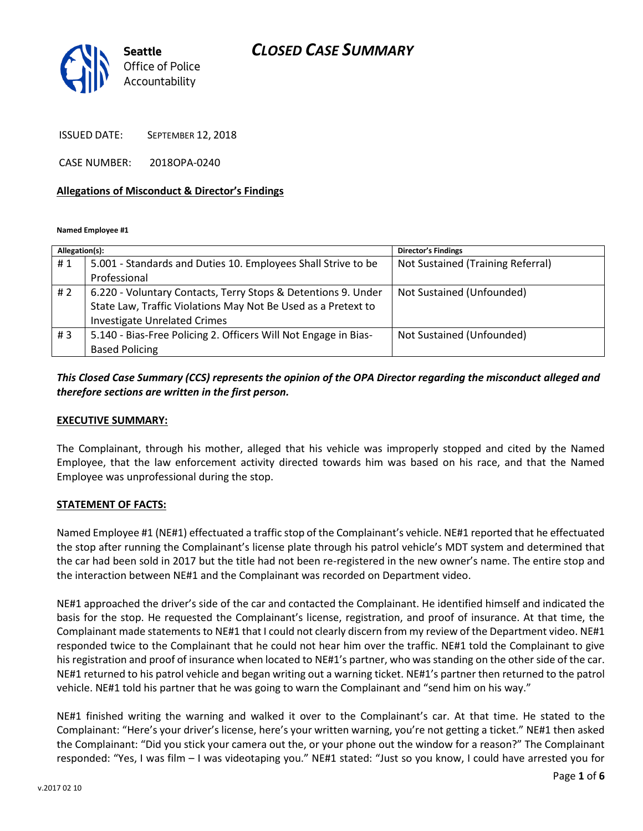## *CLOSED CASE SUMMARY*



ISSUED DATE: SEPTEMBER 12, 2018

CASE NUMBER: 2018OPA-0240

#### **Allegations of Misconduct & Director's Findings**

**Named Employee #1**

| Allegation(s): |                                                                 | <b>Director's Findings</b>        |
|----------------|-----------------------------------------------------------------|-----------------------------------|
| #1             | 5.001 - Standards and Duties 10. Employees Shall Strive to be   | Not Sustained (Training Referral) |
|                | Professional                                                    |                                   |
| # $2$          | 6.220 - Voluntary Contacts, Terry Stops & Detentions 9. Under   | Not Sustained (Unfounded)         |
|                | State Law, Traffic Violations May Not Be Used as a Pretext to   |                                   |
|                | <b>Investigate Unrelated Crimes</b>                             |                                   |
| #3             | 5.140 - Bias-Free Policing 2. Officers Will Not Engage in Bias- | Not Sustained (Unfounded)         |
|                | <b>Based Policing</b>                                           |                                   |

## *This Closed Case Summary (CCS) represents the opinion of the OPA Director regarding the misconduct alleged and therefore sections are written in the first person.*

#### **EXECUTIVE SUMMARY:**

The Complainant, through his mother, alleged that his vehicle was improperly stopped and cited by the Named Employee, that the law enforcement activity directed towards him was based on his race, and that the Named Employee was unprofessional during the stop.

### **STATEMENT OF FACTS:**

Named Employee #1 (NE#1) effectuated a traffic stop of the Complainant's vehicle. NE#1 reported that he effectuated the stop after running the Complainant's license plate through his patrol vehicle's MDT system and determined that the car had been sold in 2017 but the title had not been re-registered in the new owner's name. The entire stop and the interaction between NE#1 and the Complainant was recorded on Department video.

NE#1 approached the driver's side of the car and contacted the Complainant. He identified himself and indicated the basis for the stop. He requested the Complainant's license, registration, and proof of insurance. At that time, the Complainant made statements to NE#1 that I could not clearly discern from my review of the Department video. NE#1 responded twice to the Complainant that he could not hear him over the traffic. NE#1 told the Complainant to give his registration and proof of insurance when located to NE#1's partner, who was standing on the other side of the car. NE#1 returned to his patrol vehicle and began writing out a warning ticket. NE#1's partner then returned to the patrol vehicle. NE#1 told his partner that he was going to warn the Complainant and "send him on his way."

NE#1 finished writing the warning and walked it over to the Complainant's car. At that time. He stated to the Complainant: "Here's your driver's license, here's your written warning, you're not getting a ticket." NE#1 then asked the Complainant: "Did you stick your camera out the, or your phone out the window for a reason?" The Complainant responded: "Yes, I was film – I was videotaping you." NE#1 stated: "Just so you know, I could have arrested you for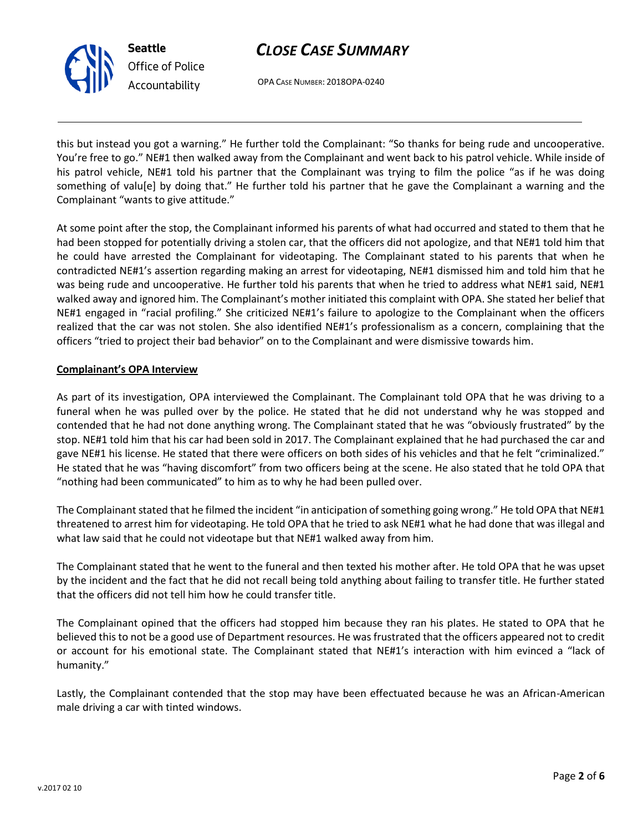# *CLOSE CASE SUMMARY*



OPA CASE NUMBER: 2018OPA-0240

this but instead you got a warning." He further told the Complainant: "So thanks for being rude and uncooperative. You're free to go." NE#1 then walked away from the Complainant and went back to his patrol vehicle. While inside of his patrol vehicle, NE#1 told his partner that the Complainant was trying to film the police "as if he was doing something of valu[e] by doing that." He further told his partner that he gave the Complainant a warning and the Complainant "wants to give attitude."

At some point after the stop, the Complainant informed his parents of what had occurred and stated to them that he had been stopped for potentially driving a stolen car, that the officers did not apologize, and that NE#1 told him that he could have arrested the Complainant for videotaping. The Complainant stated to his parents that when he contradicted NE#1's assertion regarding making an arrest for videotaping, NE#1 dismissed him and told him that he was being rude and uncooperative. He further told his parents that when he tried to address what NE#1 said, NE#1 walked away and ignored him. The Complainant's mother initiated this complaint with OPA. She stated her belief that NE#1 engaged in "racial profiling." She criticized NE#1's failure to apologize to the Complainant when the officers realized that the car was not stolen. She also identified NE#1's professionalism as a concern, complaining that the officers "tried to project their bad behavior" on to the Complainant and were dismissive towards him.

## **Complainant's OPA Interview**

As part of its investigation, OPA interviewed the Complainant. The Complainant told OPA that he was driving to a funeral when he was pulled over by the police. He stated that he did not understand why he was stopped and contended that he had not done anything wrong. The Complainant stated that he was "obviously frustrated" by the stop. NE#1 told him that his car had been sold in 2017. The Complainant explained that he had purchased the car and gave NE#1 his license. He stated that there were officers on both sides of his vehicles and that he felt "criminalized." He stated that he was "having discomfort" from two officers being at the scene. He also stated that he told OPA that "nothing had been communicated" to him as to why he had been pulled over.

The Complainant stated that he filmed the incident "in anticipation of something going wrong." He told OPA that NE#1 threatened to arrest him for videotaping. He told OPA that he tried to ask NE#1 what he had done that was illegal and what law said that he could not videotape but that NE#1 walked away from him.

The Complainant stated that he went to the funeral and then texted his mother after. He told OPA that he was upset by the incident and the fact that he did not recall being told anything about failing to transfer title. He further stated that the officers did not tell him how he could transfer title.

The Complainant opined that the officers had stopped him because they ran his plates. He stated to OPA that he believed this to not be a good use of Department resources. He was frustrated that the officers appeared not to credit or account for his emotional state. The Complainant stated that NE#1's interaction with him evinced a "lack of humanity."

Lastly, the Complainant contended that the stop may have been effectuated because he was an African-American male driving a car with tinted windows.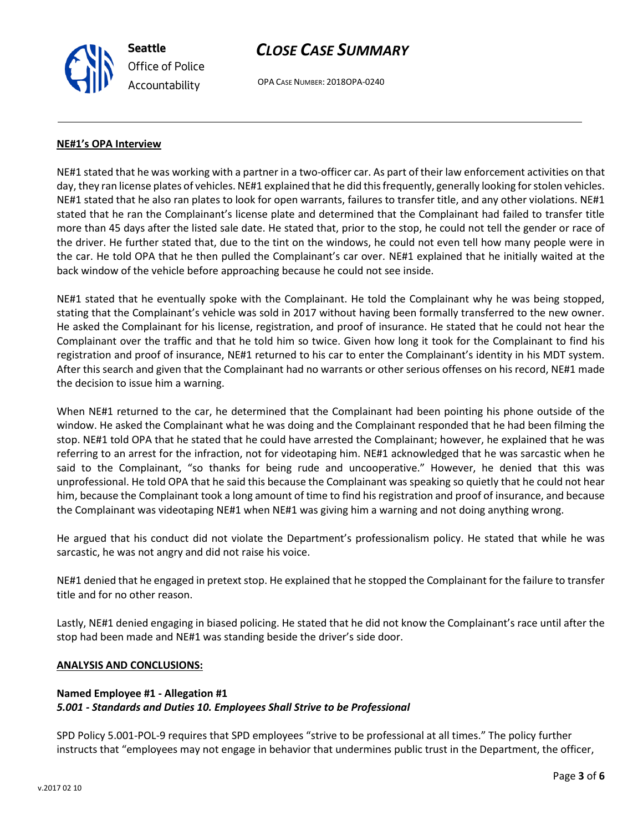**Seattle** *Office of Police Accountability*

# *CLOSE CASE SUMMARY*

OPA CASE NUMBER: 2018OPA-0240

## **NE#1's OPA Interview**

NE#1 stated that he was working with a partner in a two-officer car. As part of their law enforcement activities on that day, they ran license plates of vehicles. NE#1 explained that he did this frequently, generally looking for stolen vehicles. NE#1 stated that he also ran plates to look for open warrants, failures to transfer title, and any other violations. NE#1 stated that he ran the Complainant's license plate and determined that the Complainant had failed to transfer title more than 45 days after the listed sale date. He stated that, prior to the stop, he could not tell the gender or race of the driver. He further stated that, due to the tint on the windows, he could not even tell how many people were in the car. He told OPA that he then pulled the Complainant's car over. NE#1 explained that he initially waited at the back window of the vehicle before approaching because he could not see inside.

NE#1 stated that he eventually spoke with the Complainant. He told the Complainant why he was being stopped, stating that the Complainant's vehicle was sold in 2017 without having been formally transferred to the new owner. He asked the Complainant for his license, registration, and proof of insurance. He stated that he could not hear the Complainant over the traffic and that he told him so twice. Given how long it took for the Complainant to find his registration and proof of insurance, NE#1 returned to his car to enter the Complainant's identity in his MDT system. After this search and given that the Complainant had no warrants or other serious offenses on his record, NE#1 made the decision to issue him a warning.

When NE#1 returned to the car, he determined that the Complainant had been pointing his phone outside of the window. He asked the Complainant what he was doing and the Complainant responded that he had been filming the stop. NE#1 told OPA that he stated that he could have arrested the Complainant; however, he explained that he was referring to an arrest for the infraction, not for videotaping him. NE#1 acknowledged that he was sarcastic when he said to the Complainant, "so thanks for being rude and uncooperative." However, he denied that this was unprofessional. He told OPA that he said this because the Complainant was speaking so quietly that he could not hear him, because the Complainant took a long amount of time to find his registration and proof of insurance, and because the Complainant was videotaping NE#1 when NE#1 was giving him a warning and not doing anything wrong.

He argued that his conduct did not violate the Department's professionalism policy. He stated that while he was sarcastic, he was not angry and did not raise his voice.

NE#1 denied that he engaged in pretext stop. He explained that he stopped the Complainant for the failure to transfer title and for no other reason.

Lastly, NE#1 denied engaging in biased policing. He stated that he did not know the Complainant's race until after the stop had been made and NE#1 was standing beside the driver's side door.

### **ANALYSIS AND CONCLUSIONS:**

### **Named Employee #1 - Allegation #1** *5.001 - Standards and Duties 10. Employees Shall Strive to be Professional*

SPD Policy 5.001-POL-9 requires that SPD employees "strive to be professional at all times." The policy further instructs that "employees may not engage in behavior that undermines public trust in the Department, the officer,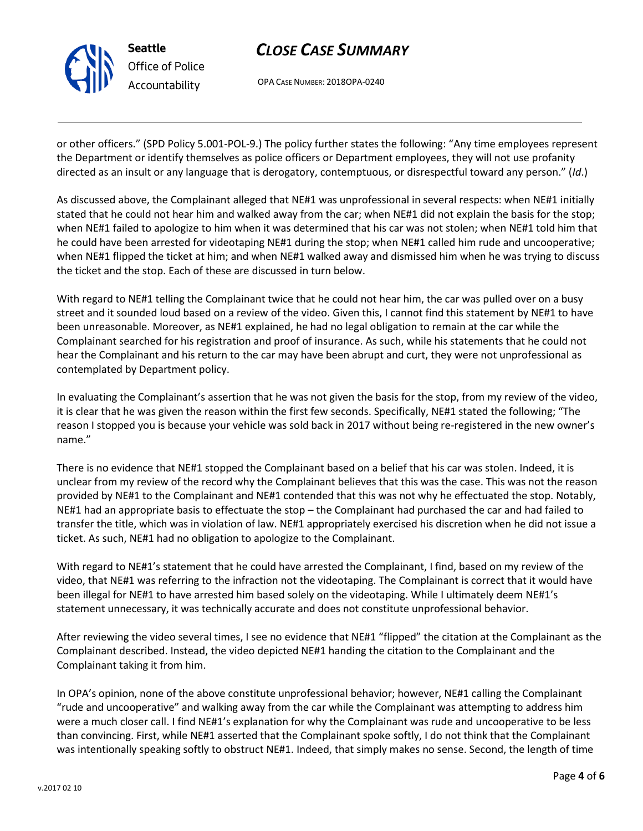

# *CLOSE CASE SUMMARY*

OPA CASE NUMBER: 2018OPA-0240

or other officers." (SPD Policy 5.001-POL-9.) The policy further states the following: "Any time employees represent the Department or identify themselves as police officers or Department employees, they will not use profanity directed as an insult or any language that is derogatory, contemptuous, or disrespectful toward any person." (*Id*.)

As discussed above, the Complainant alleged that NE#1 was unprofessional in several respects: when NE#1 initially stated that he could not hear him and walked away from the car; when NE#1 did not explain the basis for the stop; when NE#1 failed to apologize to him when it was determined that his car was not stolen; when NE#1 told him that he could have been arrested for videotaping NE#1 during the stop; when NE#1 called him rude and uncooperative; when NE#1 flipped the ticket at him; and when NE#1 walked away and dismissed him when he was trying to discuss the ticket and the stop. Each of these are discussed in turn below.

With regard to NE#1 telling the Complainant twice that he could not hear him, the car was pulled over on a busy street and it sounded loud based on a review of the video. Given this, I cannot find this statement by NE#1 to have been unreasonable. Moreover, as NE#1 explained, he had no legal obligation to remain at the car while the Complainant searched for his registration and proof of insurance. As such, while his statements that he could not hear the Complainant and his return to the car may have been abrupt and curt, they were not unprofessional as contemplated by Department policy.

In evaluating the Complainant's assertion that he was not given the basis for the stop, from my review of the video, it is clear that he was given the reason within the first few seconds. Specifically, NE#1 stated the following; "The reason I stopped you is because your vehicle was sold back in 2017 without being re-registered in the new owner's name."

There is no evidence that NE#1 stopped the Complainant based on a belief that his car was stolen. Indeed, it is unclear from my review of the record why the Complainant believes that this was the case. This was not the reason provided by NE#1 to the Complainant and NE#1 contended that this was not why he effectuated the stop. Notably, NE#1 had an appropriate basis to effectuate the stop – the Complainant had purchased the car and had failed to transfer the title, which was in violation of law. NE#1 appropriately exercised his discretion when he did not issue a ticket. As such, NE#1 had no obligation to apologize to the Complainant.

With regard to NE#1's statement that he could have arrested the Complainant, I find, based on my review of the video, that NE#1 was referring to the infraction not the videotaping. The Complainant is correct that it would have been illegal for NE#1 to have arrested him based solely on the videotaping. While I ultimately deem NE#1's statement unnecessary, it was technically accurate and does not constitute unprofessional behavior.

After reviewing the video several times, I see no evidence that NE#1 "flipped" the citation at the Complainant as the Complainant described. Instead, the video depicted NE#1 handing the citation to the Complainant and the Complainant taking it from him.

In OPA's opinion, none of the above constitute unprofessional behavior; however, NE#1 calling the Complainant "rude and uncooperative" and walking away from the car while the Complainant was attempting to address him were a much closer call. I find NE#1's explanation for why the Complainant was rude and uncooperative to be less than convincing. First, while NE#1 asserted that the Complainant spoke softly, I do not think that the Complainant was intentionally speaking softly to obstruct NE#1. Indeed, that simply makes no sense. Second, the length of time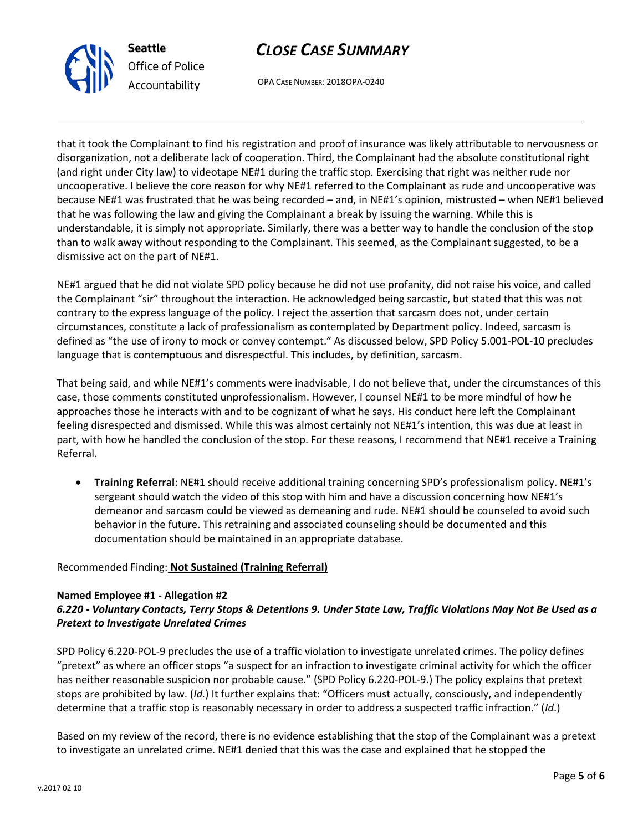



OPA CASE NUMBER: 2018OPA-0240

that it took the Complainant to find his registration and proof of insurance was likely attributable to nervousness or disorganization, not a deliberate lack of cooperation. Third, the Complainant had the absolute constitutional right (and right under City law) to videotape NE#1 during the traffic stop. Exercising that right was neither rude nor uncooperative. I believe the core reason for why NE#1 referred to the Complainant as rude and uncooperative was because NE#1 was frustrated that he was being recorded – and, in NE#1's opinion, mistrusted – when NE#1 believed that he was following the law and giving the Complainant a break by issuing the warning. While this is understandable, it is simply not appropriate. Similarly, there was a better way to handle the conclusion of the stop than to walk away without responding to the Complainant. This seemed, as the Complainant suggested, to be a dismissive act on the part of NE#1.

NE#1 argued that he did not violate SPD policy because he did not use profanity, did not raise his voice, and called the Complainant "sir" throughout the interaction. He acknowledged being sarcastic, but stated that this was not contrary to the express language of the policy. I reject the assertion that sarcasm does not, under certain circumstances, constitute a lack of professionalism as contemplated by Department policy. Indeed, sarcasm is defined as "the use of irony to mock or convey contempt." As discussed below, SPD Policy 5.001-POL-10 precludes language that is contemptuous and disrespectful. This includes, by definition, sarcasm.

That being said, and while NE#1's comments were inadvisable, I do not believe that, under the circumstances of this case, those comments constituted unprofessionalism. However, I counsel NE#1 to be more mindful of how he approaches those he interacts with and to be cognizant of what he says. His conduct here left the Complainant feeling disrespected and dismissed. While this was almost certainly not NE#1's intention, this was due at least in part, with how he handled the conclusion of the stop. For these reasons, I recommend that NE#1 receive a Training Referral.

• **Training Referral**: NE#1 should receive additional training concerning SPD's professionalism policy. NE#1's sergeant should watch the video of this stop with him and have a discussion concerning how NE#1's demeanor and sarcasm could be viewed as demeaning and rude. NE#1 should be counseled to avoid such behavior in the future. This retraining and associated counseling should be documented and this documentation should be maintained in an appropriate database.

## Recommended Finding: **Not Sustained (Training Referral)**

#### **Named Employee #1 - Allegation #2** *6.220 - Voluntary Contacts, Terry Stops & Detentions 9. Under State Law, Traffic Violations May Not Be Used as a Pretext to Investigate Unrelated Crimes*

SPD Policy 6.220-POL-9 precludes the use of a traffic violation to investigate unrelated crimes. The policy defines "pretext" as where an officer stops "a suspect for an infraction to investigate criminal activity for which the officer has neither reasonable suspicion nor probable cause." (SPD Policy 6.220-POL-9.) The policy explains that pretext stops are prohibited by law. (*Id.*) It further explains that: "Officers must actually, consciously, and independently determine that a traffic stop is reasonably necessary in order to address a suspected traffic infraction." (*Id*.)

Based on my review of the record, there is no evidence establishing that the stop of the Complainant was a pretext to investigate an unrelated crime. NE#1 denied that this was the case and explained that he stopped the